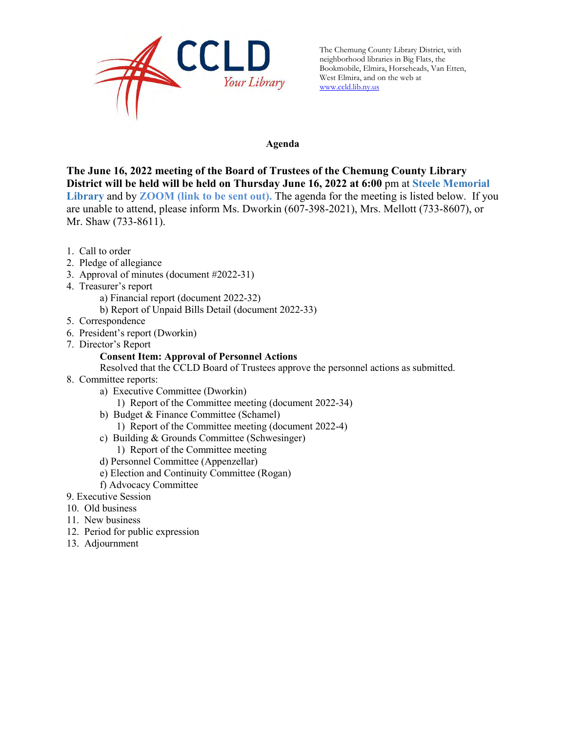

The Chemung County Library District, with neighborhood libraries in Big Flats, the Bookmobile, Elmira, Horseheads, Van Etten, West Elmira, and on the web at [www.ccld.lib.ny.us](http://www.ccld.lib.ny.us/)

#### **Agenda**

**The June 16, 2022 meeting of the Board of Trustees of the Chemung County Library District will be held will be held on Thursday June 16, 2022 at 6:00** pm at **Steele Memorial Library** and by **ZOOM (link to be sent out).** The agenda for the meeting is listed below. If you are unable to attend, please inform Ms. Dworkin (607-398-2021), Mrs. Mellott (733-8607), or Mr. Shaw (733-8611).

- 1. Call to order
- 2. Pledge of allegiance
- 3. Approval of minutes (document #2022-31)
- 4. Treasurer's report
	- a) Financial report (document 2022-32)
	- b) Report of Unpaid Bills Detail (document 2022-33)
- 5. Correspondence
- 6. President's report (Dworkin)
- 7. Director's Report

#### **Consent Item: Approval of Personnel Actions**

Resolved that the CCLD Board of Trustees approve the personnel actions as submitted.

- 8. Committee reports:
	- a) Executive Committee (Dworkin)
		- 1) Report of the Committee meeting (document 2022-34)
	- b) Budget & Finance Committee (Schamel)
		- 1) Report of the Committee meeting (document 2022-4)
	- c) Building & Grounds Committee (Schwesinger)
		- 1) Report of the Committee meeting
	- d) Personnel Committee (Appenzellar)
	- e) Election and Continuity Committee (Rogan)
	- f) Advocacy Committee
- 9. Executive Session
- 10. Old business
- 11. New business
- 12. Period for public expression
- 13. Adjournment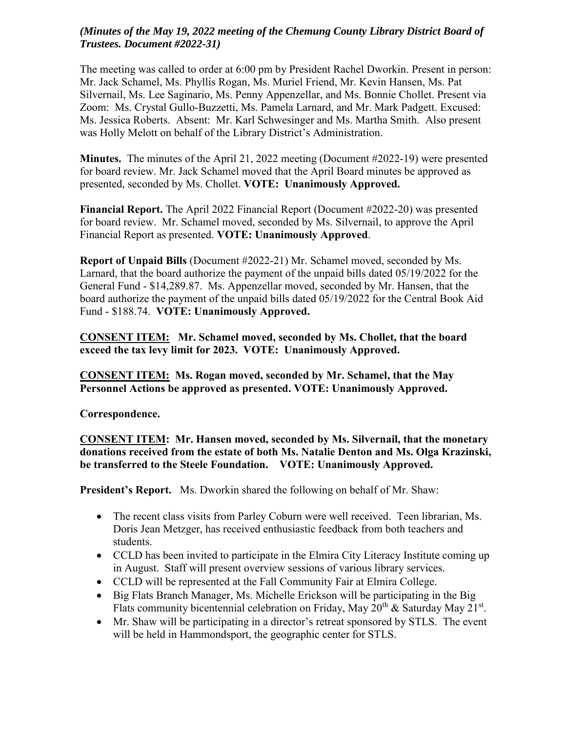### *(Minutes of the May 19, 2022 meeting of the Chemung County Library District Board of Trustees. Document #2022-31)*

The meeting was called to order at 6:00 pm by President Rachel Dworkin. Present in person: Mr. Jack Schamel, Ms. Phyllis Rogan, Ms. Muriel Friend, Mr. Kevin Hansen, Ms. Pat Silvernail, Ms. Lee Saginario, Ms. Penny Appenzellar, and Ms. Bonnie Chollet. Present via Zoom: Ms. Crystal Gullo-Buzzetti, Ms. Pamela Larnard, and Mr. Mark Padgett. Excused: Ms. Jessica Roberts. Absent: Mr. Karl Schwesinger and Ms. Martha Smith. Also present was Holly Melott on behalf of the Library District's Administration.

**Minutes.** The minutes of the April 21, 2022 meeting (Document #2022-19) were presented for board review. Mr. Jack Schamel moved that the April Board minutes be approved as presented, seconded by Ms. Chollet. **VOTE: Unanimously Approved.**

**Financial Report.** The April 2022 Financial Report (Document #2022-20) was presented for board review. Mr. Schamel moved, seconded by Ms. Silvernail, to approve the April Financial Report as presented. **VOTE: Unanimously Approved**.

**Report of Unpaid Bills** (Document #2022-21) Mr. Schamel moved, seconded by Ms. Larnard, that the board authorize the payment of the unpaid bills dated 05/19/2022 for the General Fund - \$14,289.87. Ms. Appenzellar moved, seconded by Mr. Hansen, that the board authorize the payment of the unpaid bills dated 05/19/2022 for the Central Book Aid Fund - \$188.74. **VOTE: Unanimously Approved.** 

**CONSENT ITEM: Mr. Schamel moved, seconded by Ms. Chollet, that the board exceed the tax levy limit for 2023. VOTE: Unanimously Approved.** 

**CONSENT ITEM: Ms. Rogan moved, seconded by Mr. Schamel, that the May Personnel Actions be approved as presented. VOTE: Unanimously Approved.** 

**Correspondence.**

**CONSENT ITEM: Mr. Hansen moved, seconded by Ms. Silvernail, that the monetary donations received from the estate of both Ms. Natalie Denton and Ms. Olga Krazinski, be transferred to the Steele Foundation. VOTE: Unanimously Approved.** 

**President's Report.** Ms. Dworkin shared the following on behalf of Mr. Shaw:

- The recent class visits from Parley Coburn were well received. Teen librarian, Ms. Doris Jean Metzger, has received enthusiastic feedback from both teachers and students.
- CCLD has been invited to participate in the Elmira City Literacy Institute coming up in August. Staff will present overview sessions of various library services.
- CCLD will be represented at the Fall Community Fair at Elmira College.
- Big Flats Branch Manager, Ms. Michelle Erickson will be participating in the Big Flats community bicentennial celebration on Friday, May 20<sup>th</sup> & Saturday May 21<sup>st</sup>.
- Mr. Shaw will be participating in a director's retreat sponsored by STLS. The event will be held in Hammondsport, the geographic center for STLS.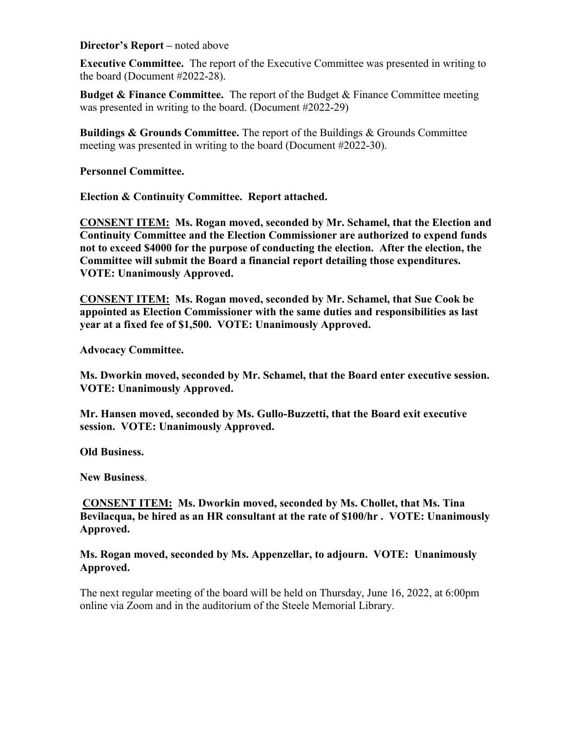**Director's Report –** noted above

**Executive Committee.** The report of the Executive Committee was presented in writing to the board (Document #2022-28).

**Budget & Finance Committee.** The report of the Budget & Finance Committee meeting was presented in writing to the board. (Document #2022-29)

**Buildings & Grounds Committee.** The report of the Buildings & Grounds Committee meeting was presented in writing to the board (Document #2022-30).

**Personnel Committee.** 

**Election & Continuity Committee. Report attached.**

**CONSENT ITEM: Ms. Rogan moved, seconded by Mr. Schamel, that the Election and Continuity Committee and the Election Commissioner are authorized to expend funds not to exceed \$4000 for the purpose of conducting the election. After the election, the Committee will submit the Board a financial report detailing those expenditures. VOTE: Unanimously Approved.** 

**CONSENT ITEM: Ms. Rogan moved, seconded by Mr. Schamel, that Sue Cook be appointed as Election Commissioner with the same duties and responsibilities as last year at a fixed fee of \$1,500. VOTE: Unanimously Approved.** 

**Advocacy Committee.** 

**Ms. Dworkin moved, seconded by Mr. Schamel, that the Board enter executive session. VOTE: Unanimously Approved.** 

**Mr. Hansen moved, seconded by Ms. Gullo-Buzzetti, that the Board exit executive session. VOTE: Unanimously Approved.** 

**Old Business.**

**New Business**.

**CONSENT ITEM: Ms. Dworkin moved, seconded by Ms. Chollet, that Ms. Tina Bevilacqua, be hired as an HR consultant at the rate of \$100/hr . VOTE: Unanimously Approved.** 

**Ms. Rogan moved, seconded by Ms. Appenzellar, to adjourn. VOTE: Unanimously Approved.** 

The next regular meeting of the board will be held on Thursday, June 16, 2022, at 6:00pm online via Zoom and in the auditorium of the Steele Memorial Library.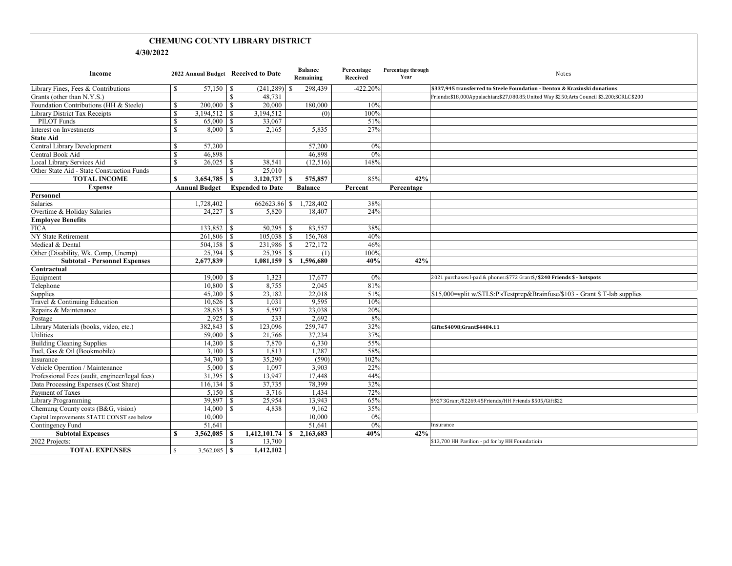#### **CHEMUNG COUNTY LIBRARY DISTRICT**

#### **4/30/2022**

| Income                                         | 2022 Annual Budget Received to Date |                         | <b>Balance</b><br>Remaining     | Percentage<br>Received | Percentage through<br>Year | Notes                                                                                     |
|------------------------------------------------|-------------------------------------|-------------------------|---------------------------------|------------------------|----------------------------|-------------------------------------------------------------------------------------------|
| Library Fines, Fees & Contributions            | $\mathbf S$                         | (241, 289)              | 298,439<br>-8                   | $-422.20%$             |                            | \$337.945 transferred to Steele Foundation - Denton & Krazinski donations                 |
| Grants (other than N.Y.S.)                     |                                     | <sup>\$</sup><br>48,731 |                                 |                        |                            | Friends:\$18,000Appalachian:\$27,080.85;United Way \$250;Arts Council \$3,200;SCRLC \$200 |
| Foundation Contributions (HH & Steele)         | <sup>\$</sup>                       | 20,000                  | 180,000                         | 10%                    |                            |                                                                                           |
| Library District Tax Receipts                  | $\mathbb{S}$<br>$3,194,512$ \$      | 3,194,512               | (0)                             | 100%                   |                            |                                                                                           |
| <b>PILOT</b> Funds                             | $\mathbf{s}$<br>$65,000$ \$         | 33,067                  |                                 | 51%                    |                            |                                                                                           |
| Interest on Investments                        | $\mathbf S$                         | 2,165                   | 5,835                           | 27%                    |                            |                                                                                           |
| <b>State Aid</b>                               |                                     |                         |                                 |                        |                            |                                                                                           |
| Central Library Development                    | <sup>\$</sup><br>57,200             |                         | 57,200                          | 0%                     |                            |                                                                                           |
| Central Book Aid                               | $\mathbb{S}$<br>46,898              |                         | 46,898                          | 0%                     |                            |                                                                                           |
| Local Library Services Aid                     | \$<br>26,025                        | 38,541<br>l \$          | (12,516)                        | 148%                   |                            |                                                                                           |
| Other State Aid - State Construction Funds     |                                     | 25,010<br><sup>\$</sup> |                                 |                        |                            |                                                                                           |
| <b>TOTAL INCOME</b>                            | S<br>3,654,785                      | $\mathsf{S}$            | 575,857                         | 85%                    | 42%                        |                                                                                           |
| <b>Expense</b>                                 | <b>Annual Budget</b>                | <b>Expended to Date</b> | <b>Balance</b>                  | Percent                | Percentage                 |                                                                                           |
| Personnel                                      |                                     |                         |                                 |                        |                            |                                                                                           |
| <b>Salaries</b>                                | 1,728,402                           | 662623.86 \$            | 1,728,402                       | 38%                    |                            |                                                                                           |
| Overtime & Holiday Salaries                    |                                     | 5,820                   | 18,407                          | 24%                    |                            |                                                                                           |
| <b>Employee Benefits</b>                       |                                     |                         |                                 |                        |                            |                                                                                           |
| <b>FICA</b>                                    | $133,852$ \$                        |                         | 83,557                          | 38%                    |                            |                                                                                           |
| NY State Retirement                            | $261,806$ \$                        |                         | 156,768                         | 40%                    |                            |                                                                                           |
| Medical & Dental                               |                                     | $231.986$ \$            | 272,172                         | 46%                    |                            |                                                                                           |
| Other (Disability, Wk. Comp, Unemp)            | $25,394$ \\$                        |                         | (1)                             | 100%                   |                            |                                                                                           |
| <b>Subtotal - Personnel Expenses</b>           | 2,677,839                           |                         | $1,081,159$ \$ 1,596,680        | 40%                    | 42%                        |                                                                                           |
| Contractual                                    |                                     |                         |                                 |                        |                            |                                                                                           |
| Equipment                                      |                                     | 1,323                   | 17,677                          | 0%                     |                            | 2021 purchases: I-pad & phones: \$772 Grant \$/\$240 Friends \$ - hotspots                |
| Telephone                                      | $10,800$ \$                         | 8,755                   | 2,045                           | 81%                    |                            |                                                                                           |
| Supplies                                       |                                     | 23,182                  | 22,018                          | 51%                    |                            | \$15,000=split w/STLS:P'sTestprep&Brainfuse/\$103 - Grant \$ T-lab supplies               |
| Travel & Continuing Education                  |                                     | 1.031                   | 9.595                           | 10%                    |                            |                                                                                           |
| Repairs & Maintenance                          |                                     | 5,597                   | 23,038                          | 20%                    |                            |                                                                                           |
| Postage                                        |                                     | 233                     | 2.692                           | 8%                     |                            |                                                                                           |
| Library Materials (books, video, etc.)         | 382,843 \$                          | 123,096                 | 259,747                         | 32%                    |                            | Gifts: \$4098; Grant \$4484.11                                                            |
| Utilities                                      | $59,000$ \ \$                       | 21,766                  | 37,234                          | 37%                    |                            |                                                                                           |
| <b>Building Cleaning Supplies</b>              |                                     | 7,870                   | 6,330                           | 55%                    |                            |                                                                                           |
| Fuel, Gas & Oil (Bookmobile)                   |                                     | 1,813                   | 1,287                           | 58%                    |                            |                                                                                           |
| Insurance                                      |                                     | 35,290                  | (590)                           | 102%                   |                            |                                                                                           |
| Vehicle Operation / Maintenance                | $5,000$ \ \ \$                      | 1,097                   | 3,903                           | 22%                    |                            |                                                                                           |
| Professional Fees (audit, engineer/legal fees) | 31,395                              | $\vert s$<br>13,947     | 17,448                          | 44%                    |                            |                                                                                           |
| Data Processing Expenses (Cost Share)          | $116, 134$ \$                       | 37,735                  | 78,399                          | 32%                    |                            |                                                                                           |
| Payment of Taxes                               |                                     | 3,716                   | 1,434                           | 72%                    |                            |                                                                                           |
| Library Programming                            | 39,897                              | 25,954<br>$\mathbf{S}$  | 13,943                          | 65%                    |                            | \$9273Grant/\$2269.45Friends/HH Friends \$505/Gift\$22                                    |
| Chemung County costs (B&G, vision)             |                                     | 4.838                   | 9.162                           | 35%                    |                            |                                                                                           |
| Capital Improvements STATE CONST see below     | 10,000                              |                         | 10,000                          | 0%                     |                            |                                                                                           |
| Contingency Fund                               | 51.641                              |                         | 51.641                          | 0%                     |                            | Insurance                                                                                 |
| <b>Subtotal Expenses</b>                       | $\mathbf{s}$<br>3,562,085           | <b>S</b>                | $1,412,101.74$ \ \ \$ 2,163,683 | 40%                    | 42%                        |                                                                                           |
| 2022 Projects:                                 |                                     | $\mathbb{S}$<br>13,700  |                                 |                        |                            | \$13,700 HH Pavilion - pd for by HH Foundatioin                                           |
| <b>TOTAL EXPENSES</b>                          | $\mathbf{s}$                        | 1,412,102               |                                 |                        |                            |                                                                                           |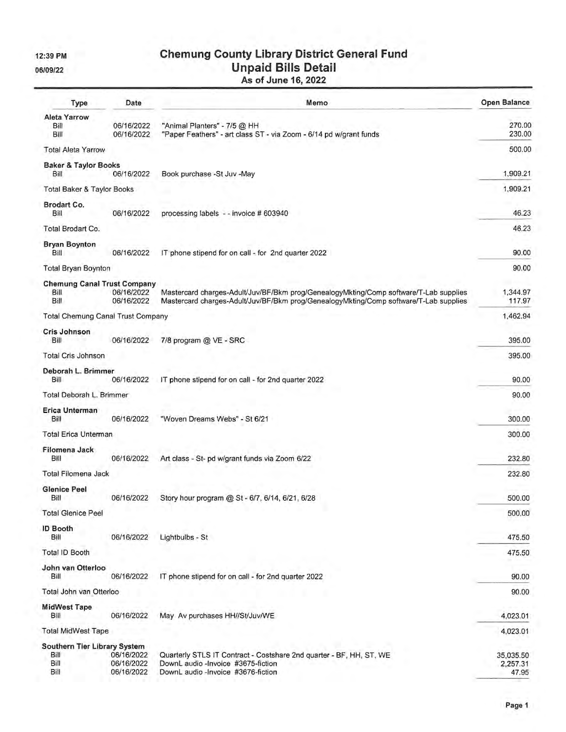12:39 PM

06/09/22

# **Chemung County Library District General Fund<br>Unpaid Bills Detail<br>As of June 16, 2022**

| Type<br>Date                                         |                                        | Memo                                                                                                                                                                           | <b>Open Balance</b>            |  |
|------------------------------------------------------|----------------------------------------|--------------------------------------------------------------------------------------------------------------------------------------------------------------------------------|--------------------------------|--|
| <b>Aleta Yarrow</b><br>Bill<br>Bill                  | 06/16/2022<br>06/16/2022               | "Animal Planters" - 7/5 @ HH<br>"Paper Feathers" - art class ST - via Zoom - 6/14 pd w/grant funds                                                                             | 270.00<br>230.00               |  |
| <b>Total Aleta Yarrow</b>                            |                                        |                                                                                                                                                                                | 500.00                         |  |
| <b>Baker &amp; Taylor Books</b><br>Bill              | 06/16/2022                             | Book purchase -St Juv -May                                                                                                                                                     | 1,909.21                       |  |
| <b>Total Baker &amp; Taylor Books</b>                |                                        |                                                                                                                                                                                | 1,909.21                       |  |
| Brodart Co.<br>Bill                                  | 06/16/2022                             | processing labels -- invoice # 603940                                                                                                                                          | 46.23                          |  |
| Total Brodart Co.                                    |                                        |                                                                                                                                                                                | 46.23                          |  |
| <b>Bryan Boynton</b><br>Bill                         | 06/16/2022                             | IT phone stipend for on call - for 2nd quarter 2022                                                                                                                            | 90.00                          |  |
| <b>Total Bryan Boynton</b>                           |                                        |                                                                                                                                                                                | 90.00                          |  |
| <b>Chemung Canal Trust Company</b><br>Bill<br>Bill   | 06/16/2022<br>06/16/2022               | Mastercard charges-Adult/Juv/BF/Bkm prog/GenealogyMkting/Comp software/T-Lab supplies<br>Mastercard charges-Adult/Juv/BF/Bkm prog/GenealogyMkting/Comp software/T-Lab supplies | 1,344.97<br>117.97             |  |
| <b>Total Chemung Canal Trust Company</b>             |                                        |                                                                                                                                                                                | 1,462.94                       |  |
| Cris Johnson<br>Bill                                 | 06/16/2022                             | 7/8 program @ VE - SRC                                                                                                                                                         | 395.00                         |  |
| <b>Total Cris Johnson</b>                            |                                        |                                                                                                                                                                                | 395.00                         |  |
| Deborah L. Brimmer<br>Bill                           | 06/16/2022                             | IT phone stipend for on call - for 2nd quarter 2022                                                                                                                            | 90.00                          |  |
| Total Deborah L. Brimmer                             |                                        |                                                                                                                                                                                | 90.00                          |  |
| Erica Unterman<br>Bill                               | 06/16/2022                             | "Woven Dreams Webs" - St 6/21                                                                                                                                                  | 300.00                         |  |
| <b>Total Erica Unterman</b>                          |                                        |                                                                                                                                                                                | 300.00                         |  |
| Filomena Jack<br>Bill                                | 06/16/2022                             | Art class - St- pd w/grant funds via Zoom 6/22                                                                                                                                 | 232.80                         |  |
| Total Filomena Jack                                  |                                        |                                                                                                                                                                                | 232.80                         |  |
| <b>Glenice Peel</b><br>Bill                          | 06/16/2022                             | Story hour program @ St - 6/7, 6/14, 6/21, 6/28                                                                                                                                | 500.00                         |  |
| <b>Total Glenice Peel</b>                            |                                        |                                                                                                                                                                                | 500.00                         |  |
| <b>ID Booth</b><br>Bill                              | 06/16/2022                             | Lightbulbs - St                                                                                                                                                                | 475.50                         |  |
| <b>Total ID Booth</b>                                |                                        |                                                                                                                                                                                | 475.50                         |  |
| John van Otterloo<br>Bill                            | 06/16/2022                             | IT phone stipend for on call - for 2nd quarter 2022                                                                                                                            | 90.00                          |  |
| Total John van Otterloo                              |                                        |                                                                                                                                                                                | 90.00                          |  |
| <b>MidWest Tape</b><br>Bill                          | 06/16/2022                             | May Av purchases HH//St/Juv/WE                                                                                                                                                 | 4,023.01                       |  |
| <b>Total MidWest Tape</b>                            |                                        |                                                                                                                                                                                | 4,023.01                       |  |
| Southern Tier Library System<br>Bill<br>Bill<br>Bill | 06/16/2022<br>06/16/2022<br>06/16/2022 | Quarterly STLS IT Contract - Costshare 2nd quarter - BF, HH, ST, WE<br>DownL audio -Invoice #3675-fiction<br>DownL audio -Invoice #3676-fiction                                | 35,035.50<br>2,257.31<br>47.95 |  |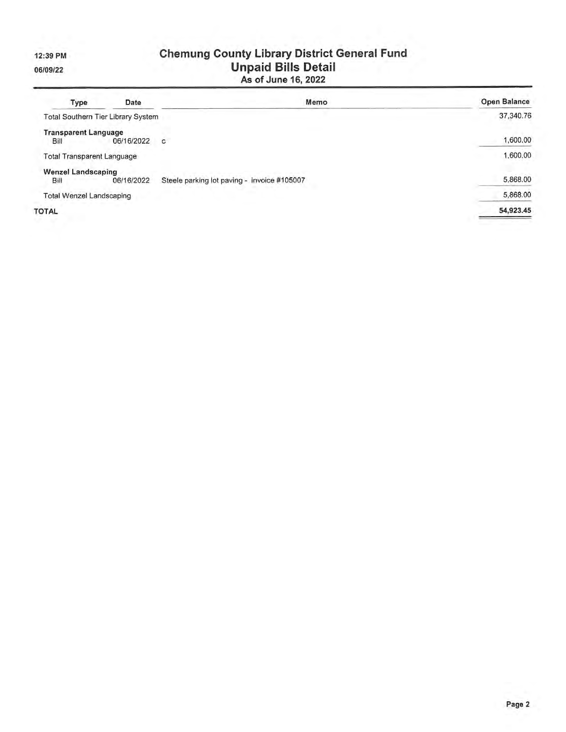12:39 PM

06/09/22

# **Chemung County Library District General Fund<br>Unpaid Bills Detail<br>As of June 16, 2022**

| <b>Type</b>                     | Date                                      | Memo                                        | <b>Open Balance</b> |
|---------------------------------|-------------------------------------------|---------------------------------------------|---------------------|
|                                 | <b>Total Southern Tier Library System</b> |                                             | 37,340.76           |
| <b>Transparent Language</b>     |                                           |                                             |                     |
| <b>Bill</b>                     | 06/16/2022                                | C                                           | 1,600.00            |
|                                 | <b>Total Transparent Language</b>         |                                             | 1,600.00            |
| <b>Wenzel Landscaping</b>       |                                           |                                             |                     |
| Bill                            | 06/16/2022                                | Steele parking lot paving - invoice #105007 | 5,868.00            |
| <b>Total Wenzel Landscaping</b> |                                           |                                             | 5,868.00            |
| <b>TOTAL</b>                    |                                           |                                             | 54,923.45           |
|                                 |                                           |                                             |                     |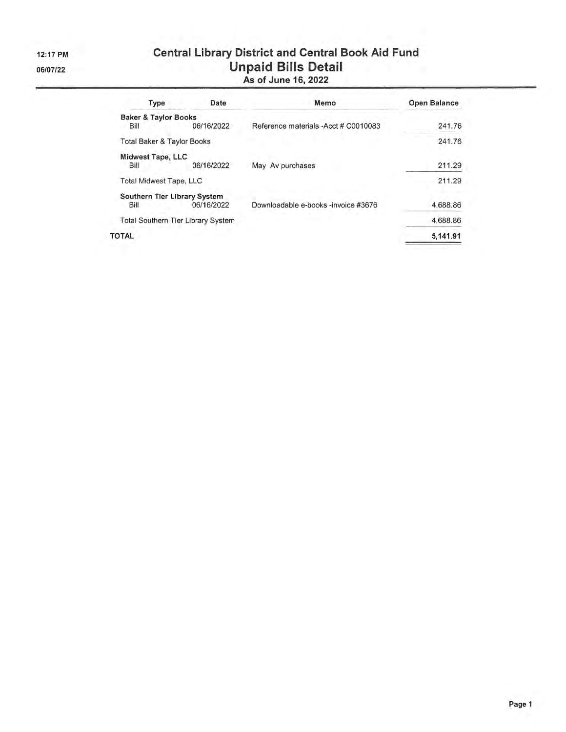12:17 PM 06/07/22

# **Central Library District and Central Book Aid Fund** Unpaid Bills Detail<br>As of June 16, 2022

| Type                                  | Date                                      | Memo                                  | <b>Open Balance</b> |  |  |
|---------------------------------------|-------------------------------------------|---------------------------------------|---------------------|--|--|
| <b>Baker &amp; Taylor Books</b>       |                                           |                                       |                     |  |  |
| Bill                                  | 06/16/2022                                | Reference materials - Acct # C0010083 | 241.76              |  |  |
| <b>Total Baker &amp; Taylor Books</b> |                                           |                                       | 241.76              |  |  |
| Midwest Tape, LLC                     |                                           |                                       |                     |  |  |
| Bill                                  | 06/16/2022                                | May Av purchases                      | 211.29              |  |  |
| <b>Total Midwest Tape, LLC</b>        |                                           |                                       | 211.29              |  |  |
| Southern Tier Library System          |                                           |                                       |                     |  |  |
| Bill                                  | 06/16/2022                                | Downloadable e-books -invoice #3676   | 4,688.86            |  |  |
|                                       | <b>Total Southern Tier Library System</b> |                                       | 4,688.86            |  |  |
| TOTAL                                 |                                           |                                       | 5,141.91            |  |  |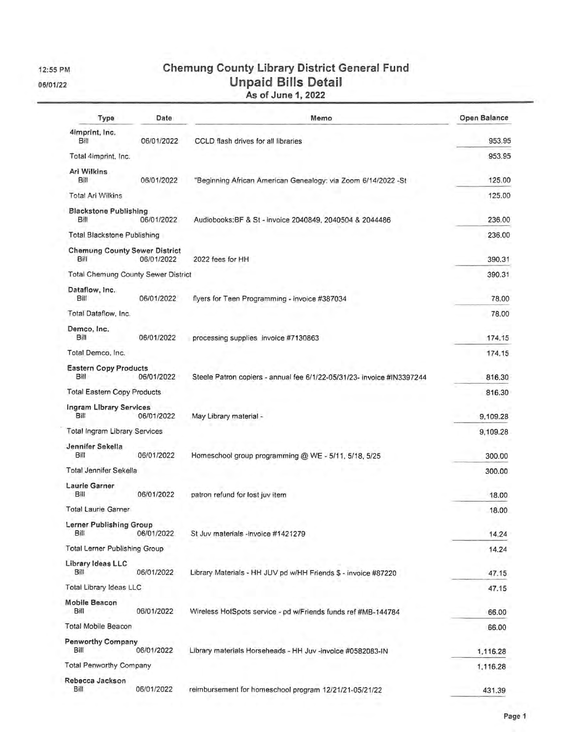12:55 PM

06/01/22

## **Chemung County Library District General Fund Unpaid Bills Detail** As of June 1, 2022

| Type                                         | Date       | Memo                                                                   | Open Balance |
|----------------------------------------------|------------|------------------------------------------------------------------------|--------------|
| 4imprint, Inc.<br>Bill                       | 06/01/2022 | CCLD flash drives for all libraries                                    | 953.95       |
| Total 4imprint, Inc.                         |            |                                                                        | 953.95       |
| Ari Wilkins<br>Bill                          | 06/01/2022 | "Beginning African American Genealogy: via Zoom 6/14/2022 - St         | 125.00       |
| <b>Total Ari Wilkins</b>                     |            |                                                                        | 125.00       |
| <b>Blackstone Publishing</b><br>Bill         | 06/01/2022 | Audiobooks: BF & St - invoice 2040849, 2040504 & 2044486               | 236.00       |
| <b>Total Blackstone Publishing</b>           |            |                                                                        | 236.00       |
| <b>Chemung County Sewer District</b><br>Bill | 06/01/2022 | 2022 fees for HH                                                       | 390.31       |
| <b>Total Chemung County Sewer District</b>   |            |                                                                        | 390.31       |
| Dataflow, Inc.<br>Bill                       | 06/01/2022 | flyers for Teen Programming - invoice #387034                          | 78.00        |
| Total Dataflow, Inc.                         |            |                                                                        | 78.00        |
| Demco, Inc.<br>Bill                          | 06/01/2022 | processing supplies invoice #7130863                                   | 174.15       |
| Total Demco, Inc.                            |            |                                                                        | 174.15       |
| <b>Eastern Copy Products</b>                 |            |                                                                        |              |
| Bill                                         | 06/01/2022 | Steele Patron copiers - annual fee 6/1/22-05/31/23- invoice #IN3397244 | 816.30       |
| <b>Total Eastern Copy Products</b>           |            |                                                                        | 816.30       |
| Ingram Library Services<br>Bill              | 06/01/2022 | May Library material -                                                 | 9,109.28     |
| <b>Total Ingram Library Services</b>         |            |                                                                        | 9,109.28     |
| Jennifer Sekella                             |            |                                                                        |              |
| Bill                                         | 06/01/2022 | Homeschool group programming @ WE - 5/11, 5/18, 5/25                   | 300.00       |
| <b>Total Jennifer Sekella</b>                |            |                                                                        | 300.00       |
| <b>Laurie Garner</b><br>BIII                 | 06/01/2022 | patron refund for lost juv item                                        | 18.00        |
| <b>Total Laurie Garner</b>                   |            |                                                                        | 18.00        |
| Lerner Publishing Group<br>Bill              | 06/01/2022 | St Juv materials -invoice #1421279                                     | 14.24        |
| <b>Total Lerner Publishing Group</b>         |            |                                                                        | 14.24        |
| Library Ideas LLC<br>Bill                    | 06/01/2022 | Library Materials - HH JUV pd w/HH Friends \$ - invoice #87220         | 47.15        |
| Total Library Ideas LLC                      |            |                                                                        | 47.15        |
| <b>Mobile Beacon</b><br>Bill                 | 06/01/2022 | Wireless HotSpots service - pd w/Friends funds ref #MB-144784          | 66.00        |
| Total Mobile Beacon                          |            |                                                                        | 66.00        |
| <b>Penworthy Company</b><br>Bill             | 06/01/2022 | Library materials Horseheads - HH Juv -invoice #0582083-IN             | 1,116.28     |
| Total Penworthy Company                      |            |                                                                        | 1,116.28     |
| Rebecca Jackson<br>Bill                      | 06/01/2022 | reimbursement for homeschool program 12/21/21-05/21/22                 | 431.39       |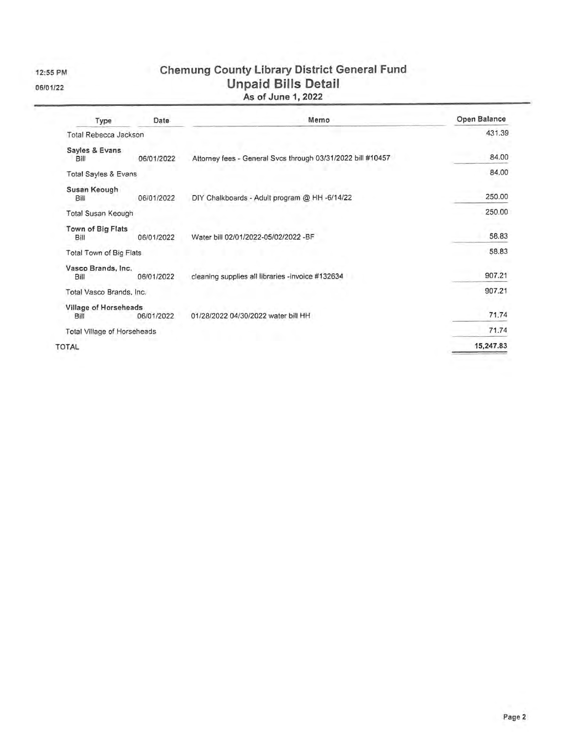12:55 PM 06/01/22

**Chemung County Library District General Fund** Unpaid Bills Detail<br>As of June 1, 2022

| Type                          | <b>Date</b> | Memo                                                        | Open Balance |  |  |
|-------------------------------|-------------|-------------------------------------------------------------|--------------|--|--|
| Total Rebecca Jackson         |             |                                                             | 431.39       |  |  |
| Sayles & Evans<br>Bill        | 06/01/2022  | Altorney fees - General Svcs through 03/31/2022 bill #10457 | 84.00        |  |  |
| Total Sayles & Evans          |             |                                                             | 84.00        |  |  |
| Susan Keough<br>Bill          | 06/01/2022  | DIY Chalkboards - Adult program @ HH -6/14/22               | 250.00       |  |  |
| Total Susan Keough            |             |                                                             | 250.00       |  |  |
| Town of Big Flats<br>Bill     | 06/01/2022  | Water bill 02/01/2022-05/02/2022 -BF                        | 58.83        |  |  |
| Total Town of Big Flats       |             |                                                             | 58.83        |  |  |
| Vasco Brands, Inc.<br>Bill    | 06/01/2022  | cleaning supplies all libraries -invoice #132634            | 907.21       |  |  |
| Total Vasco Brands, Inc.      |             |                                                             | 907.21       |  |  |
| Village of Horseheads<br>Bill | 06/01/2022  | 01/28/2022 04/30/2022 water bill HH                         | 71.74        |  |  |
| Total Village of Horseheads   |             |                                                             | 71.74        |  |  |
| TOTAL                         |             |                                                             | 15,247.83    |  |  |

 $\mathbf{r}$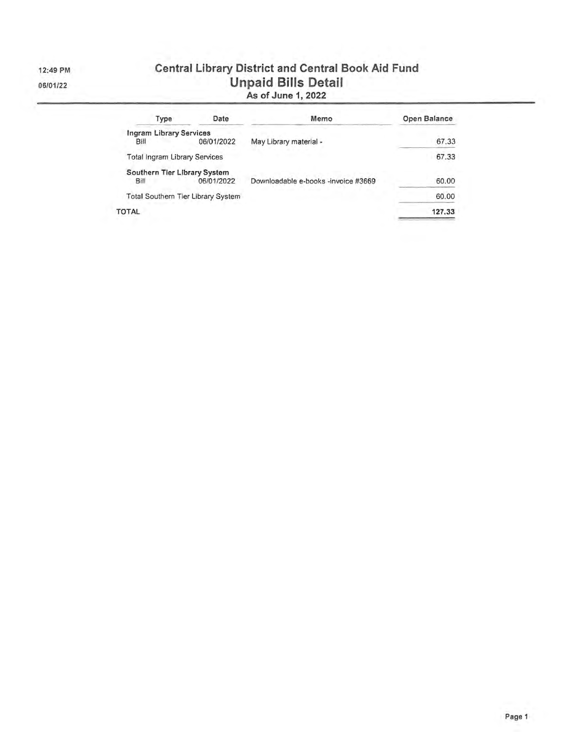12:49 PM

06/01/22

## **Central Library District and Central Book Aid Fund Unpaid Bills Detail** As of June 1, 2022

| Type                           | Date                               | Memo                                | Open Balance |  |  |
|--------------------------------|------------------------------------|-------------------------------------|--------------|--|--|
| <b>Ingram Library Services</b> |                                    |                                     |              |  |  |
| Bill                           | 06/01/2022                         | May Library material -              | 67.33        |  |  |
| Total Ingram Library Services  |                                    |                                     | 67.33        |  |  |
| Southern Tier Library System   |                                    |                                     |              |  |  |
| Bill                           | 06/01/2022                         | Downloadable e-books -invoice #3669 | 60.00        |  |  |
|                                | Total Southern Tier Library System |                                     | 60.00        |  |  |
| <b>TOTAL</b>                   |                                    |                                     | 127.33       |  |  |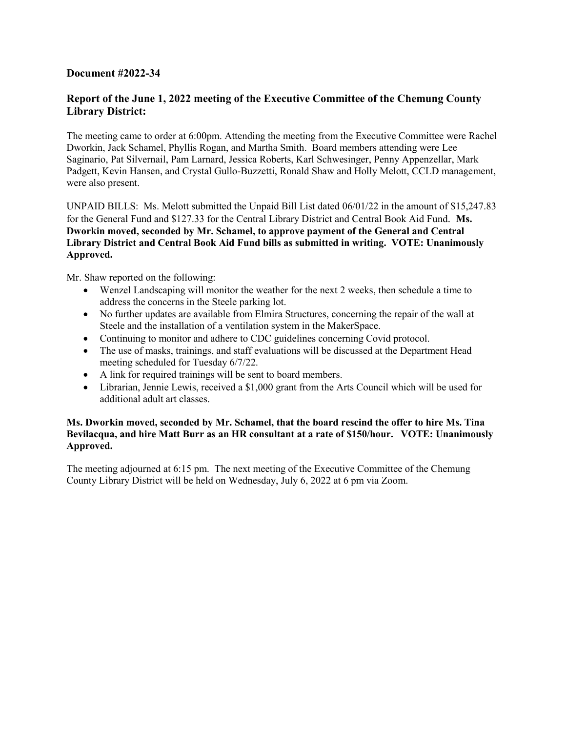#### **Document #2022-34**

#### **Report of the June 1, 2022 meeting of the Executive Committee of the Chemung County Library District:**

The meeting came to order at 6:00pm. Attending the meeting from the Executive Committee were Rachel Dworkin, Jack Schamel, Phyllis Rogan, and Martha Smith. Board members attending were Lee Saginario, Pat Silvernail, Pam Larnard, Jessica Roberts, Karl Schwesinger, Penny Appenzellar, Mark Padgett, Kevin Hansen, and Crystal Gullo-Buzzetti, Ronald Shaw and Holly Melott, CCLD management, were also present.

UNPAID BILLS: Ms. Melott submitted the Unpaid Bill List dated 06/01/22 in the amount of \$15,247.83 for the General Fund and \$127.33 for the Central Library District and Central Book Aid Fund. **Ms. Dworkin moved, seconded by Mr. Schamel, to approve payment of the General and Central Library District and Central Book Aid Fund bills as submitted in writing. VOTE: Unanimously Approved.** 

Mr. Shaw reported on the following:

- Wenzel Landscaping will monitor the weather for the next 2 weeks, then schedule a time to address the concerns in the Steele parking lot.
- No further updates are available from Elmira Structures, concerning the repair of the wall at Steele and the installation of a ventilation system in the MakerSpace.
- Continuing to monitor and adhere to CDC guidelines concerning Covid protocol.
- The use of masks, trainings, and staff evaluations will be discussed at the Department Head meeting scheduled for Tuesday 6/7/22.
- A link for required trainings will be sent to board members.
- Librarian, Jennie Lewis, received a \$1,000 grant from the Arts Council which will be used for additional adult art classes.

#### **Ms. Dworkin moved, seconded by Mr. Schamel, that the board rescind the offer to hire Ms. Tina Bevilacqua, and hire Matt Burr as an HR consultant at a rate of \$150/hour. VOTE: Unanimously Approved.**

The meeting adjourned at 6:15 pm. The next meeting of the Executive Committee of the Chemung County Library District will be held on Wednesday, July 6, 2022 at 6 pm via Zoom.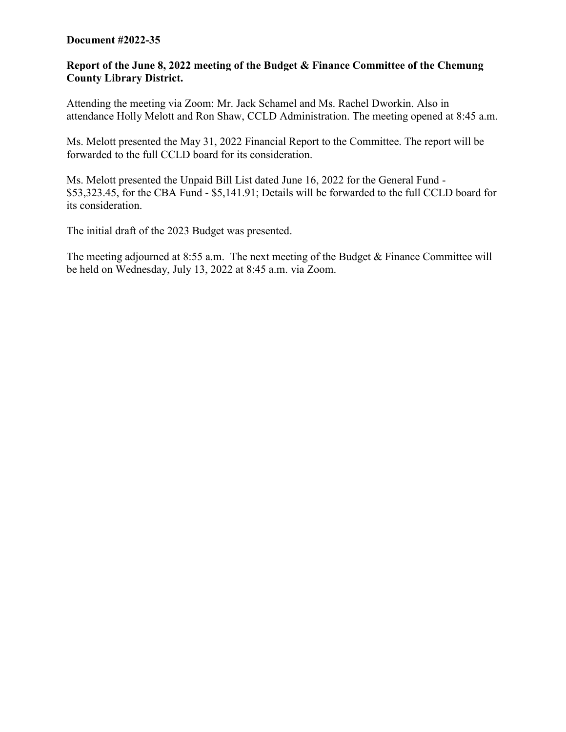#### **Document #2022-35**

#### **Report of the June 8, 2022 meeting of the Budget & Finance Committee of the Chemung County Library District.**

Attending the meeting via Zoom: Mr. Jack Schamel and Ms. Rachel Dworkin. Also in attendance Holly Melott and Ron Shaw, CCLD Administration. The meeting opened at 8:45 a.m.

Ms. Melott presented the May 31, 2022 Financial Report to the Committee. The report will be forwarded to the full CCLD board for its consideration.

Ms. Melott presented the Unpaid Bill List dated June 16, 2022 for the General Fund - \$53,323.45, for the CBA Fund - \$5,141.91; Details will be forwarded to the full CCLD board for its consideration.

The initial draft of the 2023 Budget was presented.

The meeting adjourned at 8:55 a.m. The next meeting of the Budget & Finance Committee will be held on Wednesday, July 13, 2022 at 8:45 a.m. via Zoom.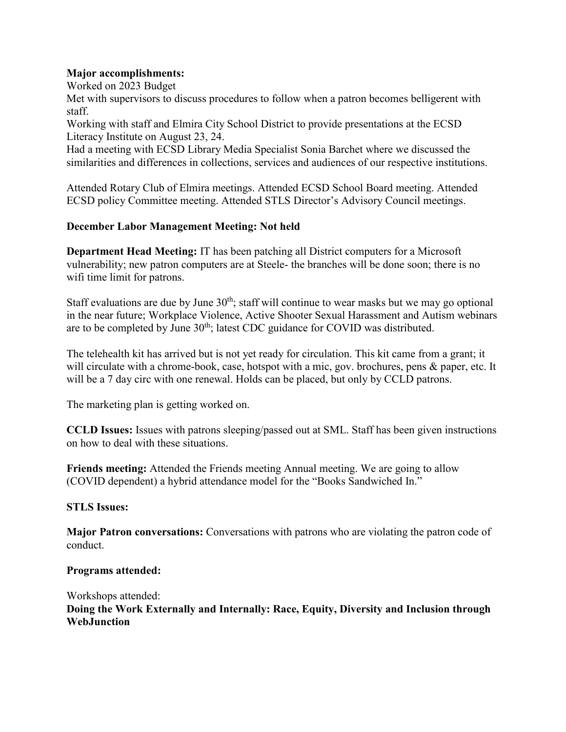#### **Major accomplishments:**

Worked on 2023 Budget

Met with supervisors to discuss procedures to follow when a patron becomes belligerent with staff.

Working with staff and Elmira City School District to provide presentations at the ECSD Literacy Institute on August 23, 24.

Had a meeting with ECSD Library Media Specialist Sonia Barchet where we discussed the similarities and differences in collections, services and audiences of our respective institutions.

Attended Rotary Club of Elmira meetings. Attended ECSD School Board meeting. Attended ECSD policy Committee meeting. Attended STLS Director's Advisory Council meetings.

#### **December Labor Management Meeting: Not held**

**Department Head Meeting:** IT has been patching all District computers for a Microsoft vulnerability; new patron computers are at Steele- the branches will be done soon; there is no wifi time limit for patrons.

Staff evaluations are due by June  $30<sup>th</sup>$ ; staff will continue to wear masks but we may go optional in the near future; Workplace Violence, Active Shooter Sexual Harassment and Autism webinars are to be completed by June  $30<sup>th</sup>$ ; latest CDC guidance for COVID was distributed.

The telehealth kit has arrived but is not yet ready for circulation. This kit came from a grant; it will circulate with a chrome-book, case, hotspot with a mic, gov. brochures, pens & paper, etc. It will be a 7 day circ with one renewal. Holds can be placed, but only by CCLD patrons.

The marketing plan is getting worked on.

**CCLD Issues:** Issues with patrons sleeping/passed out at SML. Staff has been given instructions on how to deal with these situations.

**Friends meeting:** Attended the Friends meeting Annual meeting. We are going to allow (COVID dependent) a hybrid attendance model for the "Books Sandwiched In."

#### **STLS Issues:**

**Major Patron conversations:** Conversations with patrons who are violating the patron code of conduct.

#### **Programs attended:**

Workshops attended: **Doing the Work Externally and Internally: Race, Equity, Diversity and Inclusion through WebJunction**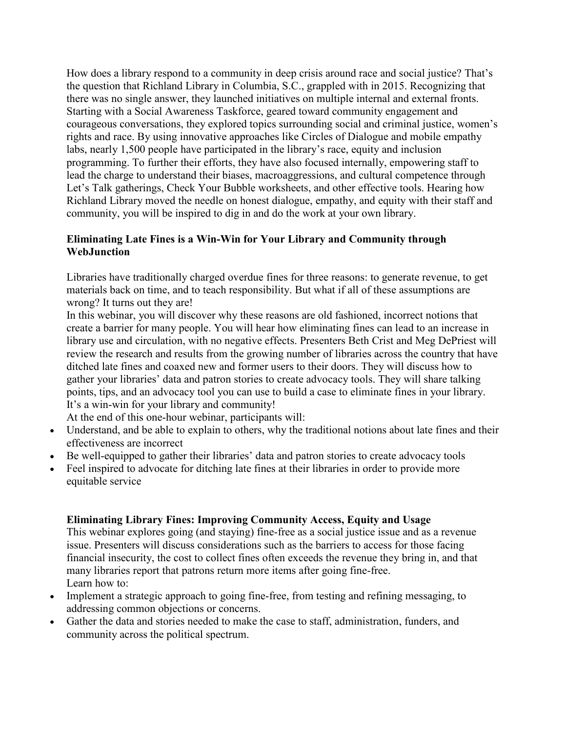How does a library respond to a community in deep crisis around race and social justice? That's the question that Richland Library in Columbia, S.C., grappled with in 2015. Recognizing that there was no single answer, they launched initiatives on multiple internal and external fronts. Starting with a Social Awareness Taskforce, geared toward community engagement and courageous conversations, they explored topics surrounding social and criminal justice, women's rights and race. By using innovative approaches like Circles of Dialogue and mobile empathy labs, nearly 1,500 people have participated in the library's race, equity and inclusion programming. To further their efforts, they have also focused internally, empowering staff to lead the charge to understand their biases, macroaggressions, and cultural competence through Let's Talk gatherings, Check Your Bubble worksheets, and other effective tools. Hearing how Richland Library moved the needle on honest dialogue, empathy, and equity with their staff and community, you will be inspired to dig in and do the work at your own library.

#### **Eliminating Late Fines is a Win-Win for Your Library and Community through WebJunction**

Libraries have traditionally charged overdue fines for three reasons: to generate revenue, to get materials back on time, and to teach responsibility. But what if all of these assumptions are wrong? It turns out they are!

In this webinar, you will discover why these reasons are old fashioned, incorrect notions that create a barrier for many people. You will hear how eliminating fines can lead to an increase in library use and circulation, with no negative effects. Presenters Beth Crist and Meg DePriest will review the research and results from the growing number of libraries across the country that have ditched late fines and coaxed new and former users to their doors. They will discuss how to gather your libraries' data and patron stories to create advocacy tools. They will share talking points, tips, and an advocacy tool you can use to build a case to eliminate fines in your library. It's a win-win for your library and community!

At the end of this one-hour webinar, participants will:

- Understand, and be able to explain to others, why the traditional notions about late fines and their effectiveness are incorrect
- Be well-equipped to gather their libraries' data and patron stories to create advocacy tools
- Feel inspired to advocate for ditching late fines at their libraries in order to provide more equitable service

#### **Eliminating Library Fines: Improving Community Access, Equity and Usage**

This webinar explores going (and staying) fine-free as a social justice issue and as a revenue issue. Presenters will discuss considerations such as the barriers to access for those facing financial insecurity, the cost to collect fines often exceeds the revenue they bring in, and that many libraries report that patrons return more items after going fine-free. Learn how to:

- Implement a strategic approach to going fine-free, from testing and refining messaging, to addressing common objections or concerns.
- Gather the data and stories needed to make the case to staff, administration, funders, and community across the political spectrum.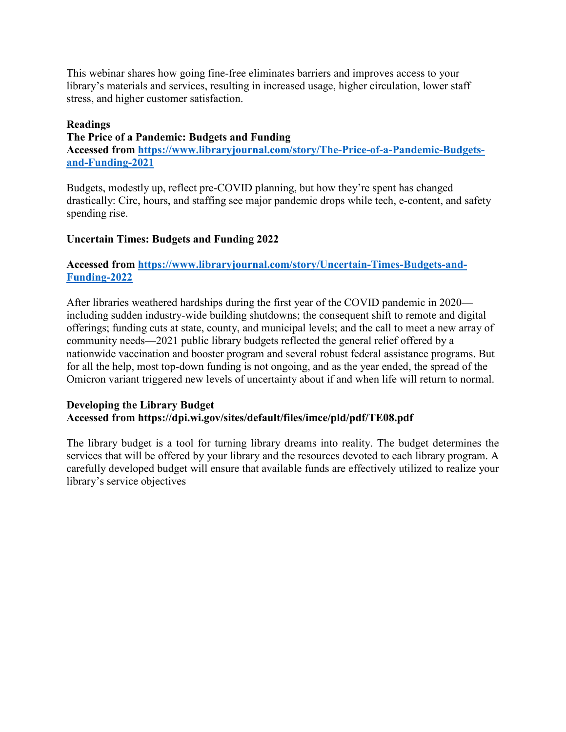This webinar shares how going fine-free eliminates barriers and improves access to your library's materials and services, resulting in increased usage, higher circulation, lower staff stress, and higher customer satisfaction.

#### **Readings**

**The Price of a Pandemic: Budgets and Funding Accessed from [https://www.libraryjournal.com/story/The-Price-of-a-Pandemic-Budgets](https://www.libraryjournal.com/story/The-Price-of-a-Pandemic-Budgets-and-Funding-2021)[and-Funding-2021](https://www.libraryjournal.com/story/The-Price-of-a-Pandemic-Budgets-and-Funding-2021)**

Budgets, modestly up, reflect pre-COVID planning, but how they're spent has changed drastically: Circ, hours, and staffing see major pandemic drops while tech, e-content, and safety spending rise.

#### **Uncertain Times: Budgets and Funding 2022**

#### **Accessed from [https://www.libraryjournal.com/story/Uncertain-Times-Budgets-and-](https://www.libraryjournal.com/story/Uncertain-Times-Budgets-and-Funding-2022)[Funding-2022](https://www.libraryjournal.com/story/Uncertain-Times-Budgets-and-Funding-2022)**

After libraries weathered hardships during the first year of the COVID pandemic in 2020 including sudden industry-wide building shutdowns; the consequent shift to remote and digital offerings; funding cuts at state, county, and municipal levels; and the call to meet a new array of community needs—2021 public library budgets reflected the general relief offered by a nationwide vaccination and booster program and several robust federal assistance programs. But for all the help, most top-down funding is not ongoing, and as the year ended, the spread of the Omicron variant triggered new levels of uncertainty about if and when life will return to normal.

#### **Developing the Library Budget Accessed from https://dpi.wi.gov/sites/default/files/imce/pld/pdf/TE08.pdf**

The library budget is a tool for turning library dreams into reality. The budget determines the services that will be offered by your library and the resources devoted to each library program. A carefully developed budget will ensure that available funds are effectively utilized to realize your library's service objectives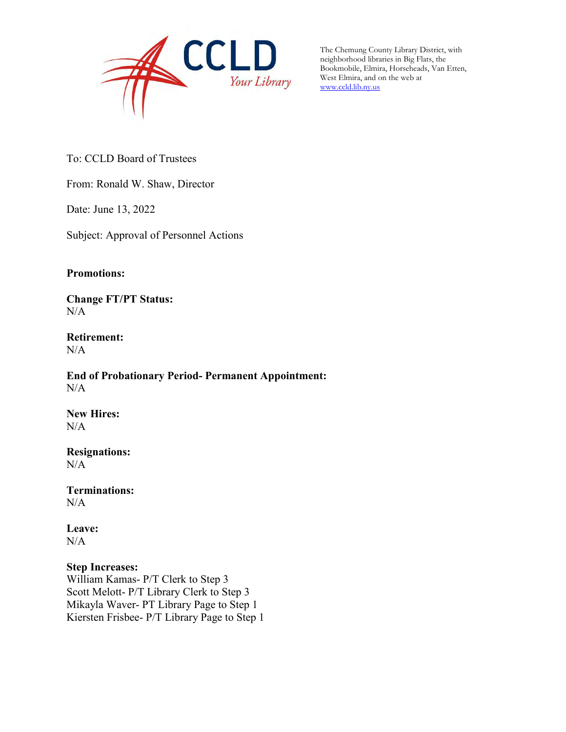

The Chemung County Library District, with neighborhood libraries in Big Flats, the Bookmobile, Elmira, Horseheads, Van Etten, West Elmira, and on the web at [www.ccld.lib.ny.us](http://www.ccld.lib.ny.us/)

To: CCLD Board of Trustees

From: Ronald W. Shaw, Director

Date: June 13, 2022

Subject: Approval of Personnel Actions

#### **Promotions:**

**Change FT/PT Status:**  $N/A$ 

**Retirement:** N/A

**End of Probationary Period- Permanent Appointment:**   $N/A$ 

**New Hires:**  $N/A$ 

**Resignations:**  N/A

**Terminations:**  N/A

**Leave:**  N/A

#### **Step Increases:**

William Kamas- P/T Clerk to Step 3 Scott Melott- P/T Library Clerk to Step 3 Mikayla Waver- PT Library Page to Step 1 Kiersten Frisbee- P/T Library Page to Step 1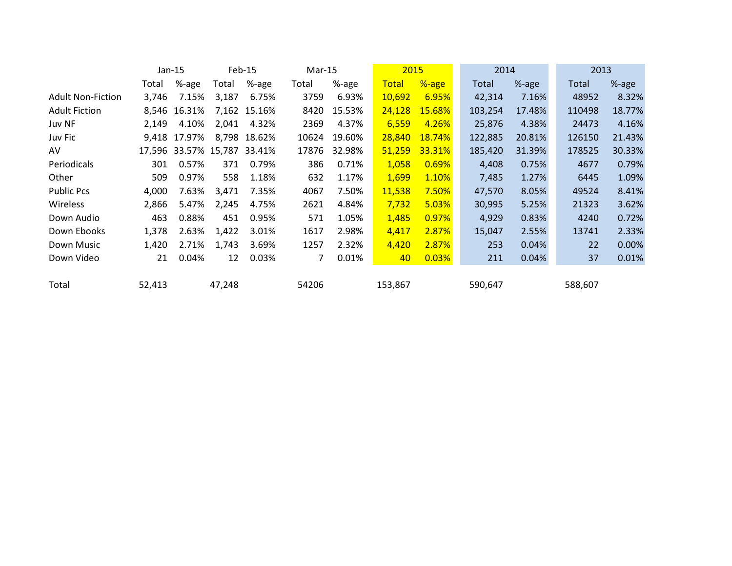| Jan-15 |        | Feb-15<br>$Mar-15$ |        | 2015                                           |        | 2014    |               | 2013    |        |         |        |
|--------|--------|--------------------|--------|------------------------------------------------|--------|---------|---------------|---------|--------|---------|--------|
| Total  | %-age  | Total              | %-age  | Total                                          | %-age  | Total   | %-age         | Total   | %-age  | Total   | %-age  |
| 3,746  | 7.15%  | 3,187              | 6.75%  | 3759                                           | 6.93%  | 10,692  | 6.95%         | 42,314  | 7.16%  | 48952   | 8.32%  |
|        | 16.31% | 7,162              | 15.16% | 8420                                           | 15.53% | 24,128  | <b>15.68%</b> | 103,254 | 17.48% | 110498  | 18.77% |
| 2,149  | 4.10%  | 2,041              | 4.32%  | 2369                                           | 4.37%  | 6,559   | 4.26%         | 25,876  | 4.38%  | 24473   | 4.16%  |
| 9,418  | 17.97% |                    |        | 10624                                          | 19.60% | 28,840  | 18.74%        | 122,885 | 20.81% | 126150  | 21.43% |
|        |        |                    |        | 17876                                          | 32.98% | 51,259  | 33.31%        | 185,420 | 31.39% | 178525  | 30.33% |
| 301    | 0.57%  | 371                | 0.79%  | 386                                            | 0.71%  | 1,058   | 0.69%         | 4,408   | 0.75%  | 4677    | 0.79%  |
| 509    | 0.97%  | 558                | 1.18%  | 632                                            | 1.17%  | 1,699   | 1.10%         | 7,485   | 1.27%  | 6445    | 1.09%  |
| 4,000  | 7.63%  | 3,471              | 7.35%  | 4067                                           | 7.50%  | 11,538  | 7.50%         | 47,570  | 8.05%  | 49524   | 8.41%  |
| 2,866  | 5.47%  | 2,245              | 4.75%  | 2621                                           | 4.84%  | 7,732   | 5.03%         | 30,995  | 5.25%  | 21323   | 3.62%  |
| 463    | 0.88%  | 451                | 0.95%  | 571                                            | 1.05%  | 1,485   | 0.97%         | 4,929   | 0.83%  | 4240    | 0.72%  |
| 1,378  | 2.63%  | 1,422              | 3.01%  | 1617                                           | 2.98%  | 4,417   | 2.87%         | 15,047  | 2.55%  | 13741   | 2.33%  |
| 1,420  | 2.71%  | 1,743              | 3.69%  | 1257                                           | 2.32%  | 4,420   | 2.87%         | 253     | 0.04%  | 22      | 0.00%  |
| 21     | 0.04%  | 12                 | 0.03%  | 7                                              | 0.01%  | 40      | 0.03%         | 211     | 0.04%  | 37      | 0.01%  |
| 52,413 |        | 47,248             |        | 54206                                          |        | 153,867 |               | 590,647 |        | 588,607 |        |
|        |        | 8,546              |        | 8,798 18.62%<br>17,596 33.57% 15,787<br>33.41% |        |         |               |         |        |         |        |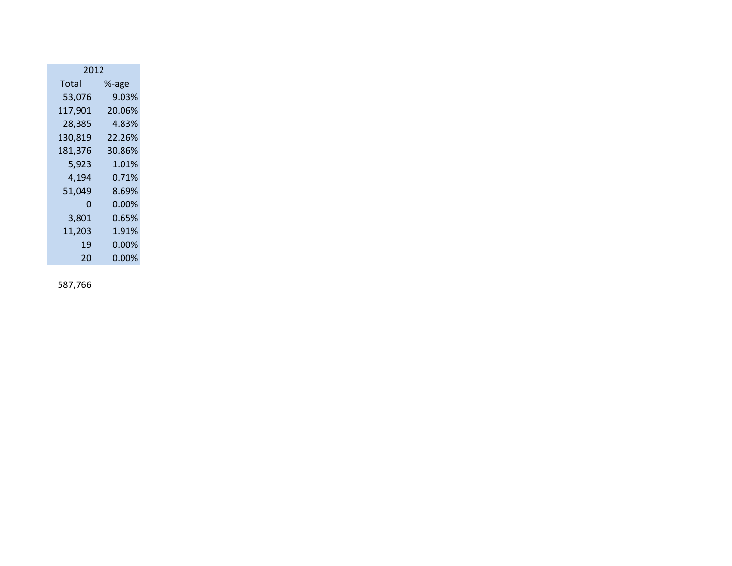| 2012    |        |  |  |  |  |  |  |  |
|---------|--------|--|--|--|--|--|--|--|
| Total   | %-age  |  |  |  |  |  |  |  |
| 53,076  | 9.03%  |  |  |  |  |  |  |  |
| 117,901 | 20.06% |  |  |  |  |  |  |  |
| 28,385  | 4.83%  |  |  |  |  |  |  |  |
| 130,819 | 22.26% |  |  |  |  |  |  |  |
| 181,376 | 30.86% |  |  |  |  |  |  |  |
| 5,923   | 1.01%  |  |  |  |  |  |  |  |
| 4,194   | 0.71%  |  |  |  |  |  |  |  |
| 51,049  | 8.69%  |  |  |  |  |  |  |  |
| 0       | 0.00%  |  |  |  |  |  |  |  |
| 3,801   | 0.65%  |  |  |  |  |  |  |  |
| 11,203  | 1.91%  |  |  |  |  |  |  |  |
| 19      | 0.00%  |  |  |  |  |  |  |  |
| 20      | 0.00%  |  |  |  |  |  |  |  |

587,766